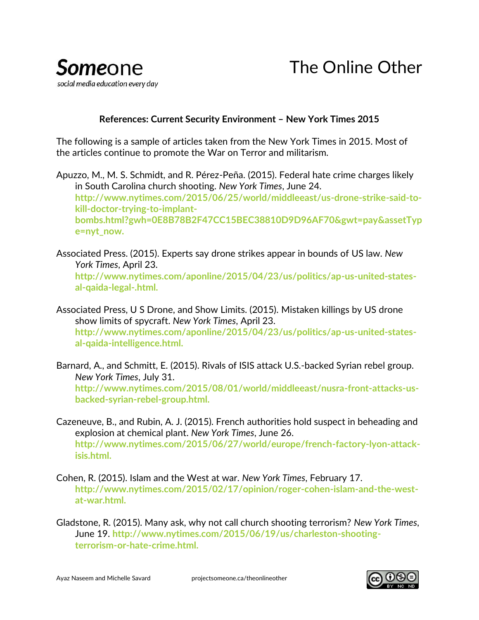

## **References: Current Security Environment – New York Times 2015**

The following is a sample of articles taken from the New York Times in 2015. Most of the articles continue to promote the War on Terror and militarism.

Apuzzo, M., M. S. Schmidt, and R. Pérez-Peña. (2015). Federal hate crime charges likely in South Carolina church shooting. *New York Times*, June 24. **http://www.nytimes.com/2015/06/25/world/middleeast/us-drone-strike-said-tokill-doctor-trying-to-implantbombs.html?gwh=0E8B78B2F47CC15BEC38810D9D96AF70&gwt=pay&assetTyp e=nyt\_now.**

- Associated Press. (2015). Experts say drone strikes appear in bounds of US law. *New York Times*, April 23. **http://www.nytimes.com/aponline/2015/04/23/us/politics/ap-us-united-statesal-qaida-legal-.html.**
- Associated Press, U S Drone, and Show Limits. (2015). Mistaken killings by US drone show limits of spycraft. *New York Times*, April 23. **http://www.nytimes.com/aponline/2015/04/23/us/politics/ap-us-united-statesal-qaida-intelligence.html.**
- Barnard, A., and Schmitt, E. (2015). Rivals of ISIS attack U.S.-backed Syrian rebel group. *New York Times*, July 31. **http://www.nytimes.com/2015/08/01/world/middleeast/nusra-front-attacks-usbacked-syrian-rebel-group.html.**
- Cazeneuve, B., and Rubin, A. J. (2015). French authorities hold suspect in beheading and explosion at chemical plant. *New York Times*, June 26. **http://www.nytimes.com/2015/06/27/world/europe/french-factory-lyon-attackisis.html.**
- Cohen, R. (2015). Islam and the West at war. *New York Times*, February 17. **[http://www.nytimes.com/2015/02/17/opinion/roger-cohen-islam-and-the-west](http://www.nytimes.com/2015/02/17/opinion/roger-cohen-islam-and-the-west-at-war.html)[at-war.html.](http://www.nytimes.com/2015/02/17/opinion/roger-cohen-islam-and-the-west-at-war.html)**
- Gladstone, R. (2015). Many ask, why not call church shooting terrorism? *New York Times*, June 19. **[http://www.nytimes.com/2015/06/19/us/charleston-shooting](http://www.nytimes.com/2015/06/19/us/charleston-shooting-terrorism-or-hate-crime.html)[terrorism-or-hate-crime.html.](http://www.nytimes.com/2015/06/19/us/charleston-shooting-terrorism-or-hate-crime.html)**

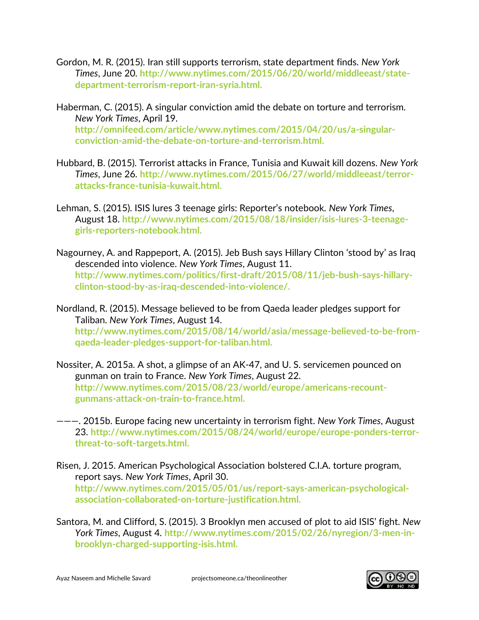- Gordon, M. R. (2015). Iran still supports terrorism, state department finds. *New York Times*, June 20. **http://www.nytimes.com/2015/06/20/world/middleeast/statedepartment-terrorism-report-iran-syria.html.**
- Haberman, C. (2015). A singular conviction amid the debate on torture and terrorism. *New York Times*, April 19. **http://omnifeed.com/article/www.nytimes.com/2015/04/20/us/a-singularconviction-amid-the-debate-on-torture-and-terrorism.html.**
- Hubbard, B. (2015). Terrorist attacks in France, Tunisia and Kuwait kill dozens. *New York Times*, June 26. **http://www.nytimes.com/2015/06/27/world/middleeast/terrorattacks-france-tunisia-kuwait.html.**
- Lehman, S. (2015). ISIS lures 3 teenage girls: Reporter's notebook. *New York Times*, August 18. **http://www.nytimes.com/2015/08/18/insider/isis-lures-3-teenagegirls-reporters-notebook.html.**
- Nagourney, A. and Rappeport, A. (2015). Jeb Bush says Hillary Clinton 'stood by' as Iraq descended into violence. *New York Times*, August 11. **http://www.nytimes.com/politics/first-draft/2015/08/11/jeb-bush-says-hillaryclinton-stood-by-as-iraq-descended-into-violence/.**

Nordland, R. (2015). Message believed to be from Qaeda leader pledges support for Taliban. *New York Times*, August 14. **[http://www.nytimes.com/2015/08/14/world/asia/message-believed-to-be-from](http://www.nytimes.com/2015/08/14/world/asia/message-believed-to-be-from-qaeda-leader-pledges-support-for-taliban.html)[qaeda-leader-pledges-support-for-taliban.html.](http://www.nytimes.com/2015/08/14/world/asia/message-believed-to-be-from-qaeda-leader-pledges-support-for-taliban.html)**

- Nossiter, A. 2015a. A shot, a glimpse of an AK-47, and U. S. servicemen pounced on gunman on train to France. *New York Times*, August 22. **http://www.nytimes.com/2015/08/23/world/europe/americans-recountgunmans-attack-on-train-to-france.html.**
- ———. 2015b. Europe facing new uncertainty in terrorism fight. *New York Times*, August 23. **http://www.nytimes.com/2015/08/24/world/europe/europe-ponders-terrorthreat-to-soft-targets.html.**
- Risen, J. 2015. American Psychological Association bolstered C.I.A. torture program, report says. *New York Times*, April 30. **http://www.nytimes.com/2015/05/01/us/report-says-american-psychologicalassociation-collaborated-on-torture-justification.html.**
- Santora, M. and Clifford, S. (2015). 3 Brooklyn men accused of plot to aid ISIS' fight. *New York Times*, August 4. **[http://www.nytimes.com/2015/02/26/nyregion/3-men-in](http://www.nytimes.com/2015/02/26/nyregion/3-men-in-brooklyn-charged-supporting-isis.html)[brooklyn-charged-supporting-isis.html.](http://www.nytimes.com/2015/02/26/nyregion/3-men-in-brooklyn-charged-supporting-isis.html)**